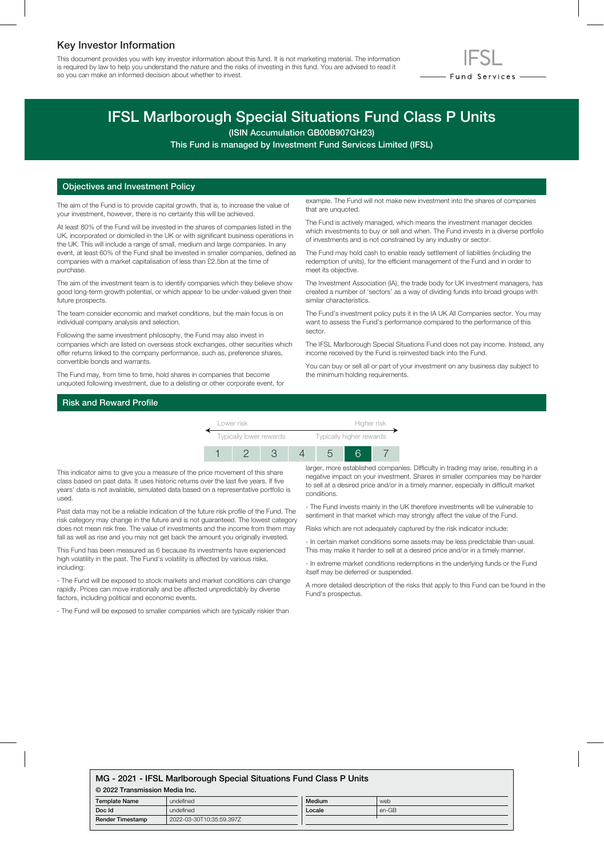## Key Investor Information

This document provides you with key investor information about this fund. It is not marketing material. The information is required by law to help you understand the nature and the risks of investing in this fund. You are advised to read it so you can make an informed decision about whether to invest.



# IFSL Marlborough Special Situations Fund Class P Units

(ISIN Accumulation GB00B907GH23)

This Fund is managed by Investment Fund Services Limited (IFSL)

#### Objectives and Investment Policy

The aim of the Fund is to provide capital growth, that is, to increase the value of your investment, however, there is no certainty this will be achieved.

At least 80% of the Fund will be invested in the shares of companies listed in the UK, incorporated or domiciled in the UK or with significant business operations in the UK. This will include a range of small, medium and large companies. In any event, at least 60% of the Fund shall be invested in smaller companies, defined as companies with a market capitalisation of less than £2.5bn at the time of purchase.

The aim of the investment team is to identify companies which they believe show good long-term growth potential, or which appear to be under-valued given their future prospects.

The team consider economic and market conditions, but the main focus is on individual company analysis and selection.

Following the same investment philosophy, the Fund may also invest in companies which are listed on overseas stock exchanges, other securities which offer returns linked to the company performance, such as, preference shares, convertible bonds and warrants.

The Fund may, from time to time, hold shares in companies that become unquoted following investment, due to a delisting or other corporate event, for

example. The Fund will not make new investment into the shares of companies that are unquoted.

The Fund is actively managed, which means the investment manager decides which investments to buy or sell and when. The Fund invests in a diverse portfolio of investments and is not constrained by any industry or sector.

The Fund may hold cash to enable ready settlement of liabilities (including the redemption of units), for the efficient management of the Fund and in order to meet its objective.

The Investment Association (IA), the trade body for UK investment managers, has created a number of 'sectors' as a way of dividing funds into broad groups with similar characteristics.

The Fund's investment policy puts it in the IA UK All Companies sector. You may want to assess the Fund's performance compared to the performance of this sector.

The IFSL Marlborough Special Situations Fund does not pay income. Instead, any income received by the Fund is reinvested back into the Fund.

You can buy or sell all or part of your investment on any business day subject to the minimum holding requirements.

#### Risk and Reward Profile



This indicator aims to give you a measure of the price movement of this share class based on past data. It uses historic returns over the last five years. If five years' data is not available, simulated data based on a representative portfolio is used.

Past data may not be a reliable indication of the future risk profile of the Fund. The risk category may change in the future and is not guaranteed. The lowest category does not mean risk free. The value of investments and the income from them may fall as well as rise and you may not get back the amount you originally invested.

This Fund has been measured as 6 because its investments have experienced high volatility in the past. The Fund's volatility is affected by various risks, including:

- The Fund will be exposed to stock markets and market conditions can change rapidly. Prices can move irrationally and be affected unpredictably by diverse factors, including political and economic events.

- The Fund will be exposed to smaller companies which are typically riskier than

larger, more established companies. Difficulty in trading may arise, resulting in a negative impact on your investment. Shares in smaller companies may be harder to sell at a desired price and/or in a timely manner, especially in difficult market conditions.

- The Fund invests mainly in the UK therefore investments will be vulnerable to sentiment in that market which may strongly affect the value of the Fund.

Risks which are not adequately captured by the risk indicator include:

- In certain market conditions some assets may be less predictable than usual. This may make it harder to sell at a desired price and/or in a timely manner.

- In extreme market conditions redemptions in the underlying funds or the Fund itself may be deferred or suspended.

A more detailed description of the risks that apply to this Fund can be found in the Fund's prospectus.